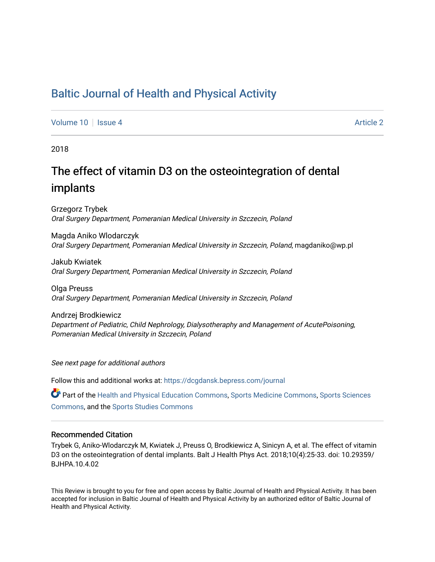## [Baltic Journal of Health and Physical Activity](https://dcgdansk.bepress.com/journal)

[Volume 10](https://dcgdansk.bepress.com/journal/vol10) | [Issue 4](https://dcgdansk.bepress.com/journal/vol10/iss4) Article 2

2018

# The effect of vitamin D3 on the osteointegration of dental implants

Grzegorz Trybek Oral Surgery Department, Pomeranian Medical University in Szczecin, Poland

Magda Aniko Wlodarczyk Oral Surgery Department, Pomeranian Medical University in Szczecin, Poland, magdaniko@wp.pl

Jakub Kwiatek Oral Surgery Department, Pomeranian Medical University in Szczecin, Poland

Olga Preuss Oral Surgery Department, Pomeranian Medical University in Szczecin, Poland

Andrzej Brodkiewicz Department of Pediatric, Child Nephrology, Dialysotheraphy and Management of AcutePoisoning, Pomeranian Medical University in Szczecin, Poland

See next page for additional authors

Follow this and additional works at: [https://dcgdansk.bepress.com/journal](https://dcgdansk.bepress.com/journal?utm_source=dcgdansk.bepress.com%2Fjournal%2Fvol10%2Fiss4%2F2&utm_medium=PDF&utm_campaign=PDFCoverPages)

Part of the [Health and Physical Education Commons](http://network.bepress.com/hgg/discipline/1327?utm_source=dcgdansk.bepress.com%2Fjournal%2Fvol10%2Fiss4%2F2&utm_medium=PDF&utm_campaign=PDFCoverPages), [Sports Medicine Commons,](http://network.bepress.com/hgg/discipline/1331?utm_source=dcgdansk.bepress.com%2Fjournal%2Fvol10%2Fiss4%2F2&utm_medium=PDF&utm_campaign=PDFCoverPages) [Sports Sciences](http://network.bepress.com/hgg/discipline/759?utm_source=dcgdansk.bepress.com%2Fjournal%2Fvol10%2Fiss4%2F2&utm_medium=PDF&utm_campaign=PDFCoverPages) [Commons](http://network.bepress.com/hgg/discipline/759?utm_source=dcgdansk.bepress.com%2Fjournal%2Fvol10%2Fiss4%2F2&utm_medium=PDF&utm_campaign=PDFCoverPages), and the [Sports Studies Commons](http://network.bepress.com/hgg/discipline/1198?utm_source=dcgdansk.bepress.com%2Fjournal%2Fvol10%2Fiss4%2F2&utm_medium=PDF&utm_campaign=PDFCoverPages) 

### Recommended Citation

Trybek G, Aniko-Wlodarczyk M, Kwiatek J, Preuss O, Brodkiewicz A, Sinicyn A, et al. The effect of vitamin D3 on the osteointegration of dental implants. Balt J Health Phys Act. 2018;10(4):25-33. doi: 10.29359/ BJHPA.10.4.02

This Review is brought to you for free and open access by Baltic Journal of Health and Physical Activity. It has been accepted for inclusion in Baltic Journal of Health and Physical Activity by an authorized editor of Baltic Journal of Health and Physical Activity.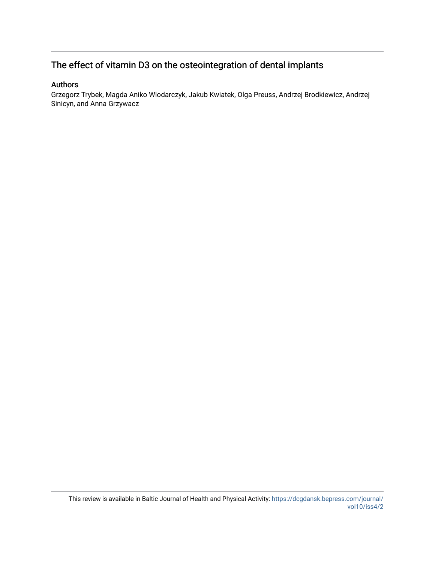## The effect of vitamin D3 on the osteointegration of dental implants

## Authors

Grzegorz Trybek, Magda Aniko Wlodarczyk, Jakub Kwiatek, Olga Preuss, Andrzej Brodkiewicz, Andrzej Sinicyn, and Anna Grzywacz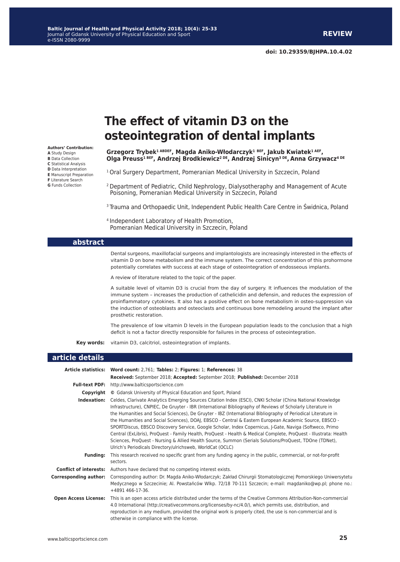#### **Authors' Contribution: A** Study Design **B** Data Collection **C** Statistical Analysis **D** Data Interpretation **E** Manuscript Preparation **F** Literature Search

**G** Funds Collection

# **The effect of vitamin D3 on the osteointegration of dental implants**

**Grzegorz Trybek1 ABDEF, Magda Aniko-Włodarczyk<sup>1</sup> BEF, Jakub Kwiatek1 AEF, Olga Preuss1 BEF, Andrzej Brodkiewicz2 DE, Andrzej Sinicyn3 DE, Anna Grzywacz4 DE**

<sup>1</sup> Oral Surgery Department, Pomeranian Medical University in Szczecin, Poland

2 Department of Pediatric, Child Nephrology, Dialysotheraphy and Management of Acute Poisoning, Pomeranian Medical University in Szczecin, Poland

<sup>3</sup> Trauma and Orthopaedic Unit, Independent Public Health Care Centre in Świdnica, Poland

4 Independent Laboratory of Health Promotion, Pomeranian Medical University in Szczecin, Poland

#### **abstract**

Dental surgeons, maxillofacial surgeons and implantologists are increasingly interested in the effects of vitamin D on bone metabolism and the immune system. The correct concentration of this prohormone potentially correlates with success at each stage of osteointegration of endosseous implants.

A review of literature related to the topic of the paper.

A suitable level of vitamin D3 is crucial from the day of surgery. It influences the modulation of the immune system – increases the production of cathelicidin and defensin, and reduces the expression of proinflammatory cytokines. It also has a positive effect on bone metabolism in osteo-suppression via the induction of osteoblasts and osteoclasts and continuous bone remodeling around the implant after prosthetic restoration.

The prevalence of low vitamin D levels in the European population leads to the conclusion that a high deficit is not a factor directly responsible for failures in the process of osteointegration.

**Key words:** vitamin D3, calcitriol, osteointegration of implants.

#### **article details**

|                              | Article statistics: Word count: 2,761; Tables: 2; Figures: 1; References: 38                                                                                                                                                                                                                                                                                                                                                                                                                                                                                                                                                                                                                                                                                                                                                                                  |  |  |
|------------------------------|---------------------------------------------------------------------------------------------------------------------------------------------------------------------------------------------------------------------------------------------------------------------------------------------------------------------------------------------------------------------------------------------------------------------------------------------------------------------------------------------------------------------------------------------------------------------------------------------------------------------------------------------------------------------------------------------------------------------------------------------------------------------------------------------------------------------------------------------------------------|--|--|
|                              | Received: September 2018; Accepted: September 2018; Published: December 2018                                                                                                                                                                                                                                                                                                                                                                                                                                                                                                                                                                                                                                                                                                                                                                                  |  |  |
|                              | Full-text PDF: http://www.balticsportscience.com                                                                                                                                                                                                                                                                                                                                                                                                                                                                                                                                                                                                                                                                                                                                                                                                              |  |  |
| Copyright                    | © Gdansk University of Physical Education and Sport, Poland                                                                                                                                                                                                                                                                                                                                                                                                                                                                                                                                                                                                                                                                                                                                                                                                   |  |  |
| Indexation:                  | Celdes, Clarivate Analytics Emerging Sources Citation Index (ESCI), CNKI Scholar (China National Knowledge<br>Infrastructure), CNPIEC, De Gruyter - IBR (International Bibliography of Reviews of Scholarly Literature in<br>the Humanities and Social Sciences), De Gruyter - IBZ (International Bibliography of Periodical Literature in<br>the Humanities and Social Sciences), DOAJ, EBSCO - Central & Eastern European Academic Source, EBSCO -<br>SPORTDiscus, EBSCO Discovery Service, Google Scholar, Index Copernicus, J-Gate, Naviga (Softweco, Primo<br>Central (ExLibris), ProQuest - Family Health, ProQuest - Health & Medical Complete, ProQuest - Illustrata: Health<br>Sciences, ProQuest - Nursing & Allied Health Source, Summon (Serials Solutions/ProQuest, TDOne (TDNet),<br>Ulrich's Periodicals Directory/ulrichsweb, WorldCat (OCLC) |  |  |
| <b>Fundina:</b>              | This research received no specific grant from any funding agency in the public, commercial, or not-for-profit<br>sectors.                                                                                                                                                                                                                                                                                                                                                                                                                                                                                                                                                                                                                                                                                                                                     |  |  |
|                              | <b>Conflict of interests:</b> Authors have declared that no competing interest exists.                                                                                                                                                                                                                                                                                                                                                                                                                                                                                                                                                                                                                                                                                                                                                                        |  |  |
| <b>Corresponding author:</b> | Corresponding author: Dr. Magda Aniko-Włodarczyk; Zakład Chirurgii Stomatologicznej Pomorskiego Uniwersytetu<br>Medycznego w Szczecinie; Al. Powstańców Wlkp. 72/18 70-111 Szczecin; e-mail: magdaniko@wp.pl; phone no.:<br>$+4891466-17-36$ .                                                                                                                                                                                                                                                                                                                                                                                                                                                                                                                                                                                                                |  |  |
| <b>Open Access License:</b>  | This is an open access article distributed under the terms of the Creative Commons Attribution-Non-commercial<br>4.0 International (http://creativecommons.org/licenses/by-nc/4.0/), which permits use, distribution, and<br>reproduction in any medium, provided the original work is properly cited, the use is non-commercial and is<br>otherwise in compliance with the license.                                                                                                                                                                                                                                                                                                                                                                                                                                                                          |  |  |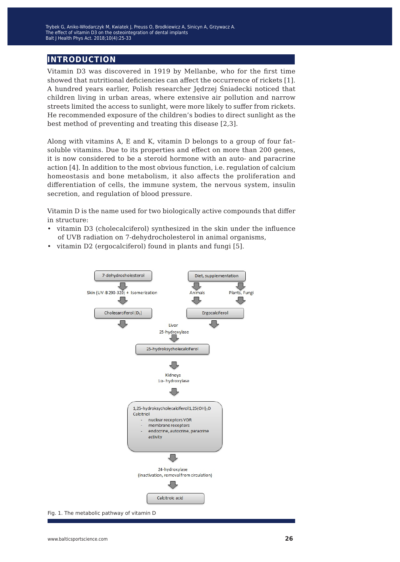## **introduction**

Vitamin D3 was discovered in 1919 by Mellanbe, who for the first time showed that nutritional deficiencies can affect the occurrence of rickets [1]. A hundred years earlier, Polish researcher Jędrzej Śniadecki noticed that children living in urban areas, where extensive air pollution and narrow streets limited the access to sunlight, were more likely to suffer from rickets. He recommended exposure of the children's bodies to direct sunlight as the best method of preventing and treating this disease [2,3].

Along with vitamins A, E and K, vitamin D belongs to a group of four fat– soluble vitamins. Due to its properties and effect on more than 200 genes, it is now considered to be a steroid hormone with an auto- and paracrine action [4]. In addition to the most obvious function, i.e. regulation of calcium homeostasis and bone metabolism, it also affects the proliferation and differentiation of cells, the immune system, the nervous system, insulin secretion, and regulation of blood pressure.

Vitamin D is the name used for two biologically active compounds that differ in structure:

- vitamin D3 (cholecalciferol) synthesized in the skin under the influence of UVB radiation on 7-dehydrocholesterol in animal organisms,
- vitamin D2 (ergocalciferol) found in plants and fungi [5].



Fig. 1. The metabolic pathway of vitamin D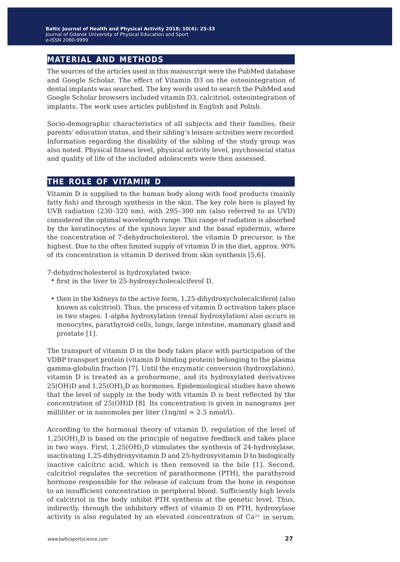## **material and methods**

The sources of the articles used in this manuscript were the PubMed database and Google Scholar. The effect of Vitamin D3 on the osteointegration of dental implants was searched. The key words used to search the PubMed and Google Scholar browsers included vitamin D3, calcitriol, osteointegration of implants. The work uses articles published in English and Polish.

Socio-demographic characteristics of all subjects and their families, their parents' education status, and their sibling's leisure activities were recorded. Information regarding the disability of the sibling of the study group was also noted. Physical fitness level, physical activity level, psychosocial status and quality of life of the included adolescents were then assessed.

### **the role of vitamin d**

Vitamin D is supplied to the human body along with food products (mainly fatty fish) and through synthesis in the skin. The key role here is played by UVB radiation (230−320 nm), with 295−300 nm (also referred to as UVD) considered the optimal wavelength range. This range of radiation is absorbed by the keratinocytes of the spinous layer and the basal epidermis, where the concentration of 7-dehydrocholesterol, the vitamin D precursor, is the highest. Due to the often limited supply of vitamin D in the diet, approx. 90% of its concentration is vitamin D derived from skin synthesis [5,6].

7-dehydrocholesterol is hydroxylated twice:

- first in the liver to 25-hydroxycholecalciferol D,
- then in the kidneys to the active form, 1,25-dihydroxycholecalciferol (also known as calcitriol). Thus, the process of vitamin D activation takes place in two stages. 1-alpha hydroxylation (renal hydroxylation) also occurs in monocytes, parathyroid cells, lungs, large intestine, mammary gland and prostate [1].

The transport of vitamin D in the body takes place with participation of the VDBP transport protein (vitamin D binding protein) belonging to the plasma gamma-globulin fraction [7]. Until the enzymatic conversion (hydroxylation), vitamin D is treated as a prohormone, and its hydroxylated derivatives 25(OH)D and 1,25(OH)<sub>2</sub>D as hormones. Epidemiological studies have shown that the level of supply in the body with vitamin D is best reflected by the concentration of 25(OH)D [8]. Its concentration is given in nanograms per milliliter or in nanomoles per liter (1ng/ml = 2.5 nmol/l).

According to the hormonal theory of vitamin D, regulation of the level of  $1,25(OH)$ <sub>,</sub>D is based on the principle of negative feedback and takes place in two ways. First,  $1,25(OH)$ , D stimulates the synthesis of 24-hydroxylase, inactivating 1,25-dihydroxyvitamin D and 25-hydroxyvitamin D to biologically inactive calcitric acid, which is then removed in the bile [1]. Second, calcitriol regulates the secretion of parathormone (PTH), the parathyroid hormone responsible for the release of calcium from the bone in response to an insufficient concentration in peripheral blood. Sufficiently high levels of calcitriol in the body inhibit PTH synthesis at the genetic level. Thus, indirectly, through the inhibitory effect of vitamin D on PTH, hydroxylase activity is also regulated by an elevated concentration of  $Ca^{2+}$  in serum.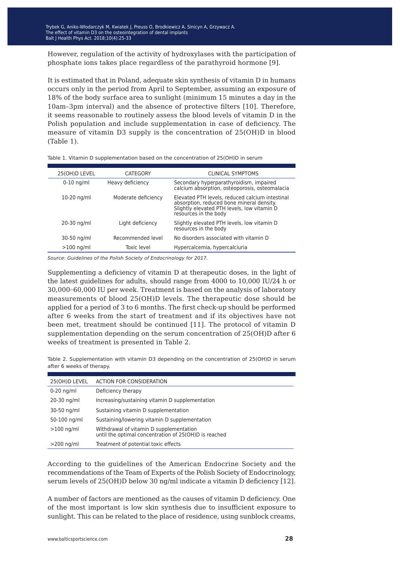However, regulation of the activity of hydroxylases with the participation of phosphate ions takes place regardless of the parathyroid hormone [9].

It is estimated that in Poland, adequate skin synthesis of vitamin D in humans occurs only in the period from April to September, assuming an exposure of 18% of the body surface area to sunlight (minimum 15 minutes a day in the 10am–3pm interval) and the absence of protective filters [10]. Therefore, it seems reasonable to routinely assess the blood levels of vitamin D in the Polish population and include supplementation in case of deficiency. The measure of vitamin D3 supply is the concentration of 25(OH)D in blood (Table 1).

| 25(OH)D LEVEL | CATEGORY            | <b>CLINICAL SYMPTOMS</b>                                                                                                                                             |
|---------------|---------------------|----------------------------------------------------------------------------------------------------------------------------------------------------------------------|
| $0-10$ ng/ml  | Heavy deficiency    | Secondary hyperparathyroidism, impaired<br>calcium absorption, osteoporosis, osteomalacia                                                                            |
| $10-20$ ng/ml | Moderate deficiency | Elevated PTH levels, reduced calcium intestinal<br>absorption, reduced bone mineral density.<br>Slightly elevated PTH levels, low vitamin D<br>resources in the body |
| 20-30 ng/ml   | Light deficiency    | Slightly elevated PTH levels, low vitamin D<br>resources in the body                                                                                                 |
| 30-50 ng/ml   | Recommended level   | No disorders associated with vitamin D                                                                                                                               |
| $>100$ ng/ml  | <b>Toxic level</b>  | Hypercalcemia, hypercalciuria                                                                                                                                        |
|               |                     |                                                                                                                                                                      |

Table 1. Vitamin D supplementation based on the concentration of 25(OH)D in serum

*Source: Guidelines of the Polish Society of Endocrinology for 2017.*

Supplementing a deficiency of vitamin D at therapeutic doses, in the light of the latest guidelines for adults, should range from 4000 to 10,000 IU/24 h or 30,000−60,000 IU per week. Treatment is based on the analysis of laboratory measurements of blood 25(OH)D levels. The therapeutic dose should be applied for a period of 3 to 6 months. The first check-up should be performed after 6 weeks from the start of treatment and if its objectives have not been met, treatment should be continued [11]. The protocol of vitamin D supplementation depending on the serum concentration of 25(OH)D after 6 weeks of treatment is presented in Table 2.

Table 2. Supplementation with vitamin D3 depending on the concentration of 25(OH)D in serum after 6 weeks of therapy.

| 25(OH)D LEVEL | ACTION FOR CONSIDERATION                                                                         |
|---------------|--------------------------------------------------------------------------------------------------|
| $0-20$ ng/ml  | Deficiency therapy                                                                               |
| 20-30 ng/ml   | Increasing/sustaining vitamin D supplementation                                                  |
| 30-50 ng/ml   | Sustaining vitamin D supplementation                                                             |
| 50-100 ng/ml  | Sustaining/lowering vitamin D supplementation                                                    |
| $>100$ ng/ml  | Withdrawal of vitamin D supplementation<br>until the optimal concentration of 25(OH)D is reached |
| $>200$ ng/ml  | Treatment of potential toxic effects                                                             |

According to the guidelines of the American Endocrine Society and the recommendations of the Team of Experts of the Polish Society of Endocrinology, serum levels of 25(OH)D below 30 ng/ml indicate a vitamin D deficiency [12].

A number of factors are mentioned as the causes of vitamin D deficiency. One of the most important is low skin synthesis due to insufficient exposure to sunlight. This can be related to the place of residence, using sunblock creams,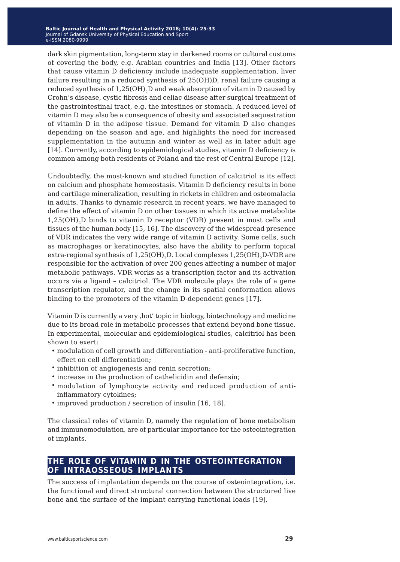dark skin pigmentation, long-term stay in darkened rooms or cultural customs of covering the body, e.g. Arabian countries and India [13]. Other factors that cause vitamin D deficiency include inadequate supplementation, liver failure resulting in a reduced synthesis of 25(OH)D, renal failure causing a reduced synthesis of  $1,25(OH)_{2}D$  and weak absorption of vitamin D caused by Crohn's disease, cystic fibrosis and celiac disease after surgical treatment of the gastrointestinal tract, e.g. the intestines or stomach. A reduced level of vitamin D may also be a consequence of obesity and associated sequestration of vitamin D in the adipose tissue. Demand for vitamin D also changes depending on the season and age, and highlights the need for increased supplementation in the autumn and winter as well as in later adult age [14]. Currently, according to epidemiological studies, vitamin D deficiency is common among both residents of Poland and the rest of Central Europe [12].

Undoubtedly, the most-known and studied function of calcitriol is its effect on calcium and phosphate homeostasis. Vitamin D deficiency results in bone and cartilage mineralization, resulting in rickets in children and osteomalacia in adults. Thanks to dynamic research in recent years, we have managed to define the effect of vitamin D on other tissues in which its active metabolite  $1,25(OH),D$  binds to vitamin D receptor (VDR) present in most cells and tissues of the human body [15, 16]. The discovery of the widespread presence of VDR indicates the very wide range of vitamin D activity. Some cells, such as macrophages or keratinocytes, also have the ability to perform topical extra-regional synthesis of  $1,25(OH),D$ . Local complexes  $1,25(OH),D$ -VDR are responsible for the activation of over 200 genes affecting a number of major metabolic pathways. VDR works as a transcription factor and its activation occurs via a ligand – calcitriol. The VDR molecule plays the role of a gene transcription regulator, and the change in its spatial conformation allows binding to the promoters of the vitamin D-dependent genes [17].

Vitamin D is currently a very 'hot' topic in biology, biotechnology and medicine due to its broad role in metabolic processes that extend beyond bone tissue. In experimental, molecular and epidemiological studies, calcitriol has been shown to exert:

- modulation of cell growth and differentiation anti-proliferative function, effect on cell differentiation;
- inhibition of angiogenesis and renin secretion;
- increase in the production of cathelicidin and defensin;
- modulation of lymphocyte activity and reduced production of antiinflammatory cytokines;
- improved production / secretion of insulin [16, 18].

The classical roles of vitamin D, namely the regulation of bone metabolism and immunomodulation, are of particular importance for the osteointegration of implants.

### **the role of vitamin d in the osteointegration of intraosseous implants**

The success of implantation depends on the course of osteointegration, i.e. the functional and direct structural connection between the structured live bone and the surface of the implant carrying functional loads [19].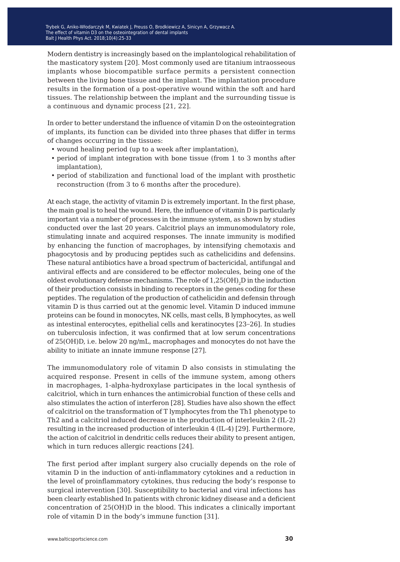Modern dentistry is increasingly based on the implantological rehabilitation of the masticatory system [20]. Most commonly used are titanium intraosseous implants whose biocompatible surface permits a persistent connection between the living bone tissue and the implant. The implantation procedure results in the formation of a post-operative wound within the soft and hard tissues. The relationship between the implant and the surrounding tissue is a continuous and dynamic process [21, 22].

In order to better understand the influence of vitamin D on the osteointegration of implants, its function can be divided into three phases that differ in terms of changes occurring in the tissues:

- wound healing period (up to a week after implantation),
- period of implant integration with bone tissue (from 1 to 3 months after implantation),
- period of stabilization and functional load of the implant with prosthetic reconstruction (from 3 to 6 months after the procedure).

At each stage, the activity of vitamin D is extremely important. In the first phase, the main goal is to heal the wound. Here, the influence of vitamin D is particularly important via a number of processes in the immune system, as shown by studies conducted over the last 20 years. Calcitriol plays an immunomodulatory role, stimulating innate and acquired responses. The innate immunity is modified by enhancing the function of macrophages, by intensifying chemotaxis and phagocytosis and by producing peptides such as cathelicidins and defensins. These natural antibiotics have a broad spectrum of bactericidal, antifungal and antiviral effects and are considered to be effector molecules, being one of the oldest evolutionary defense mechanisms. The role of  $1,25(OH),D$  in the induction of their production consists in binding to receptors in the genes coding for these peptides. The regulation of the production of cathelicidin and defensin through vitamin D is thus carried out at the genomic level. Vitamin D induced immune proteins can be found in monocytes, NK cells, mast cells, B lymphocytes, as well as intestinal enterocytes, epithelial cells and keratinocytes [23−26]. In studies on tuberculosis infection, it was confirmed that at low serum concentrations of 25(OH)D, i.e. below 20 ng/mL, macrophages and monocytes do not have the ability to initiate an innate immune response [27].

The immunomodulatory role of vitamin D also consists in stimulating the acquired response. Present in cells of the immune system, among others in macrophages, 1-alpha-hydroxylase participates in the local synthesis of calcitriol, which in turn enhances the antimicrobial function of these cells and also stimulates the action of interferon [28]. Studies have also shown the effect of calcitriol on the transformation of T lymphocytes from the Th1 phenotype to Th2 and a calcitriol induced decrease in the production of interleukin 2 (IL-2) resulting in the increased production of interleukin 4 (IL-4) [29]. Furthermore, the action of calcitriol in dendritic cells reduces their ability to present antigen, which in turn reduces allergic reactions [24].

The first period after implant surgery also crucially depends on the role of vitamin D in the induction of anti-inflammatory cytokines and a reduction in the level of proinflammatory cytokines, thus reducing the body's response to surgical intervention [30]. Susceptibility to bacterial and viral infections has been clearly established In patients with chronic kidney disease and a deficient concentration of 25(OH)D in the blood. This indicates a clinically important role of vitamin D in the body's immune function [31].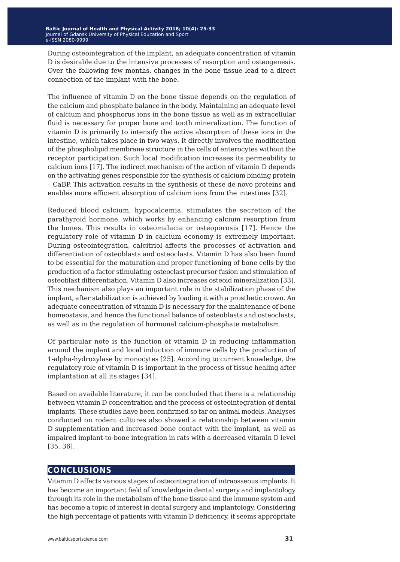During osteointegration of the implant, an adequate concentration of vitamin D is desirable due to the intensive processes of resorption and osteogenesis. Over the following few months, changes in the bone tissue lead to a direct connection of the implant with the bone.

The influence of vitamin D on the bone tissue depends on the regulation of the calcium and phosphate balance in the body. Maintaining an adequate level of calcium and phosphorus ions in the bone tissue as well as in extracellular fluid is necessary for proper bone and tooth mineralization. The function of vitamin D is primarily to intensify the active absorption of these ions in the intestine, which takes place in two ways. It directly involves the modification of the phospholipid membrane structure in the cells of enterocytes without the receptor participation. Such local modification increases its permeability to calcium ions [17]. The indirect mechanism of the action of vitamin D depends on the activating genes responsible for the synthesis of calcium binding protein – CaBP. This activation results in the synthesis of these de novo proteins and enables more efficient absorption of calcium ions from the intestines [32].

Reduced blood calcium, hypocalcemia, stimulates the secretion of the parathyroid hormone, which works by enhancing calcium resorption from the bones. This results in osteomalacia or osteoporosis [17]. Hence the regulatory role of vitamin D in calcium economy is extremely important. During osteointegration, calcitriol affects the processes of activation and differentiation of osteoblasts and osteoclasts. Vitamin D has also been found to be essential for the maturation and proper functioning of bone cells by the production of a factor stimulating osteoclast precursor fusion and stimulation of osteoblast differentiation. Vitamin D also increases osteoid mineralization [33]. This mechanism also plays an important role in the stabilization phase of the implant, after stabilization is achieved by loading it with a prosthetic crown. An adequate concentration of vitamin D is necessary for the maintenance of bone homeostasis, and hence the functional balance of osteoblasts and osteoclasts, as well as in the regulation of hormonal calcium-phosphate metabolism.

Of particular note is the function of vitamin D in reducing inflammation around the implant and local induction of immune cells by the production of 1-alpha-hydroxylase by monocytes [25]. According to current knowledge, the regulatory role of vitamin D is important in the process of tissue healing after implantation at all its stages [34].

Based on available literature, it can be concluded that there is a relationship between vitamin D concentration and the process of osteointegration of dental implants. These studies have been confirmed so far on animal models. Analyses conducted on rodent cultures also showed a relationship between vitamin D supplementation and increased bone contact with the implant, as well as impaired implant-to-bone integration in rats with a decreased vitamin D level [35, 36].

## **conclusions**

Vitamin D affects various stages of osteointegration of intraosseous implants. It has become an important field of knowledge in dental surgery and implantology through its role in the metabolism of the bone tissue and the immune system and has become a topic of interest in dental surgery and implantology. Considering the high percentage of patients with vitamin D deficiency, it seems appropriate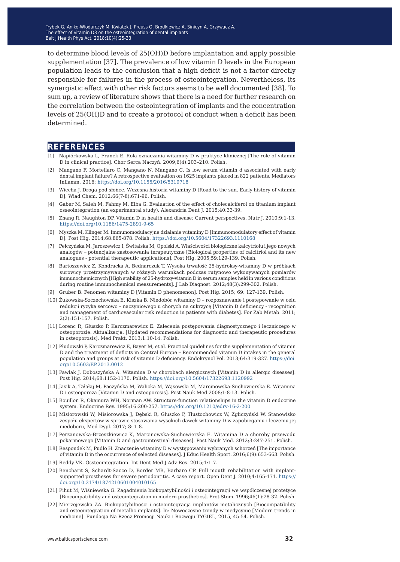Irybek G, Aniko-Włodarczyk M, Kwiatek J, Preuss O, Brodkiewicz A, Sinicyn A, Grzywacz A.<br>— The effect of vitamin D3 on the osteointegration of dental implants  $\overline{a}$ Balt J Health Phys Act. 2018;10(4):25-33

to determine blood levels of 25(OH)D before implantation and apply possible supplementation [37]. The prevalence of low vitamin D levels in the European population leads to the conclusion that a high deficit is not a factor directly responsible for failures in the process of osteointegration. Nevertheless, its synergistic effect with other risk factors seems to be well documented [38]. To sum up, a review of literature shows that there is a need for further research on the correlation between the osteointegration of implants and the concentration levels of 25(OH)D and to create a protocol of conduct when a deficit has been determined.

### **references**

- [1] Napiórkowska L, Franek E. Rola oznaczania witaminy D w praktyce klinicznej [The role of vitamin D in clinical practice]. Chor Serca Naczyń. 2009;6(4):203–210. Polish.
- [2] Mangano F, Mortellaro C, Mangano N, Mangano C. Is low serum vitamin d associated with early dental implant failure? A retrospective evaluation on 1625 implants placed in 822 patients. Mediators Inflamm. 2016;<https://doi.org/10.1155/2016/5319718>
- [3] Wiecha J. Droga pod słońce. Wczesna historia witaminy D [Road to the sun. Early history of vitamin D]. Wiad Chem. 2012;66(7-8):671-96. Polish.
- [4] Gaber M, Saleh M, Fahmy M, Elba G. Evaluation of the effect of cholecalciferol on titanium implant osseointegration (an experimental study). Alexandria Dent J. 2015;40:33-39.
- [5] Zhang R, Naughton DP. Vitamin D in health and disease: Current perspectives. Nutr J. 2010;9:1-13. <https://doi.org/10.1186/1475-2891-9-65>
- [6] Myszka M, Klinger M. Immunomodulacyjne działanie witaminy D [Immunomodulatory effect of vitamin D]. Post Hig. 2014;68:865-878. Polish. <https://doi.org/10.5604/17322693.1110168>
- [7] Pełczyńska M, Jaroszewicz I, Świtalska M, Opolski A. Właściwości biologiczne kalcytriolu i jego nowych analogów − potencjalne zastosowania terapeutyczne [Biological properties of calcitriol and its new analogues - potential therapeutic applications]. Post Hig. 2005;59:129-139. Polish.
- [8] Bartoszewicz Z, Kondracka A, Bednarczuk T. Wysoka trwałość 25-hydroksy-witaminy D w próbkach surowicy przetrzymywanych w różnych warunkach podczas rutynowo wykonywanych pomiarów immunochemicznych [High stability of 25-hydroxy-vitamin D in serum samples held in various conditions during routine immunochemical measurements]. J Lab Diagnost. 2012;48(3):299-302. Polish.
- [9] Gruber B. Fenomen witaminy D [Vitamin D phenomenon]. Post Hig. 2015; 69: 127-139. Polish.
- [10] Żukowska-Szczechowska E, Kiszka B. Niedobór witaminy D rozpoznawanie i postępowanie w celu redukcji ryzyka sercowo – naczyniowego u chorych na cukrzycę [Vitamin D deficiency - recognition and management of cardiovascular risk reduction in patients with diabetes]. For Zab Metab. 2011; 2(2):151-157. Polish.
- [11] Lorenc R, Głuszko P, Karczmarewicz E. Zalecenia postępowania diagnostycznego i leczniczego w osteoporozie. Aktualizacja. [Updated recommendations for diagnostic and therapeutic procedures in osteoporosis]. Med Prakt. 2013;1:10-14. Polish.
- [12] Płudowski P, Karczmarewicz E, Bayer M, et al. Practical guidelines for the supplementation of vitamin D and the treatment of deficits in Central Europe − Recommended vitamin D intakes in the general population and groups at risk of vitamin D deficiency. Endokrynol Pol. 2013;64:319-327. [https://doi.](https://doi.org/10.5603/EP.2013.0012) [org/10.5603/EP.2013.0012](https://doi.org/10.5603/EP.2013.0012)
- [13] Pawlak J, Doboszyńska A. Witamina D w chorobach alergicznych [Vitamin D in allergic diseases]. Post Hig. 2014;68:1152-1170. Polish.<https://doi.org/10.5604/17322693.1120992>
- [14] Jasik A, Tałałaj M, Paczyńska M, Walicka M, Wąsowski M, Marcinowska-Suchowierska E. Witamina D i osteoporoza [Vitamin D and osteoporosis]. Post Nauk Med 2008;1:8-13. Polish.
- [15] Bouillon R, Okamura WH, Norman AW. Structure-function relationships in the vitamin D endocrine system. Endocrine Rev. 1995;16:200-257. <https://doi.org/10.1210/edrv-16-2-200>
- [16] Misiorowski W, Misiorowska J, Dębski R, Głuszko P, Tłustochowicz W, Zgliczyński W, Stanowisko zespołu ekspertów w sprawie stosowania wysokich dawek witaminy D w zapobieganiu i leczeniu jej niedoboru, Med Dypl. 2017; 8: 1-8.
- [17] Perzanowska-Brzeszkiewicz K, Marcinowska-Suchowierska E. Witamina D a choroby przewodu pokarmowego [Vitamin D and gastrointestinal diseases]. Post Nauk Med. 2012;3:247-251. Polish.
- [18] Respondek M, Pudło H. Znaczenie witaminy D w występowaniu wybranych schorzeń [The importance of vitamin D in the occurrence of selected diseases]. J Educ Health Sport. 2016;6(9):653-663. Polish.
- [19] Reddy VK. Ossteointegration. Int Dent Med J Adv Res. 2015;1:1-7.
- [20] Bencharit S, Schardt-Sacco D, Border MB, Barbaro CP. Full mouth rehabilitation with implantsupported prostheses for severe periodontitis. A case report. Open Dent J. 2010;4:165-171. [https://](https://doi.org/10.2174/1874210601004010165) [doi.org/10.2174/1874210601004010165](https://doi.org/10.2174/1874210601004010165)
- [21] Pihut M, Wiśniewska G. Zagadnienia biokopatybilności i osteointegracji we współczesnej protetyce [Biocompatibility and osteointegration in modern prosthetics]. Prot Stom. 1996;46(1):28-32. Polish.
- [22] Mierzejewska ŻA. Biokopatybilności i osteointegracja implantów metalicznych [Biocompatibility and osteointegration of metallic implants]. In: Nowoczesne trendy w medycynie [Modern trends in medicine]. Fundacja Na Rzecz Promocji Nauki i Rozwoju TYGIEL, 2015, 45-54. Polish.